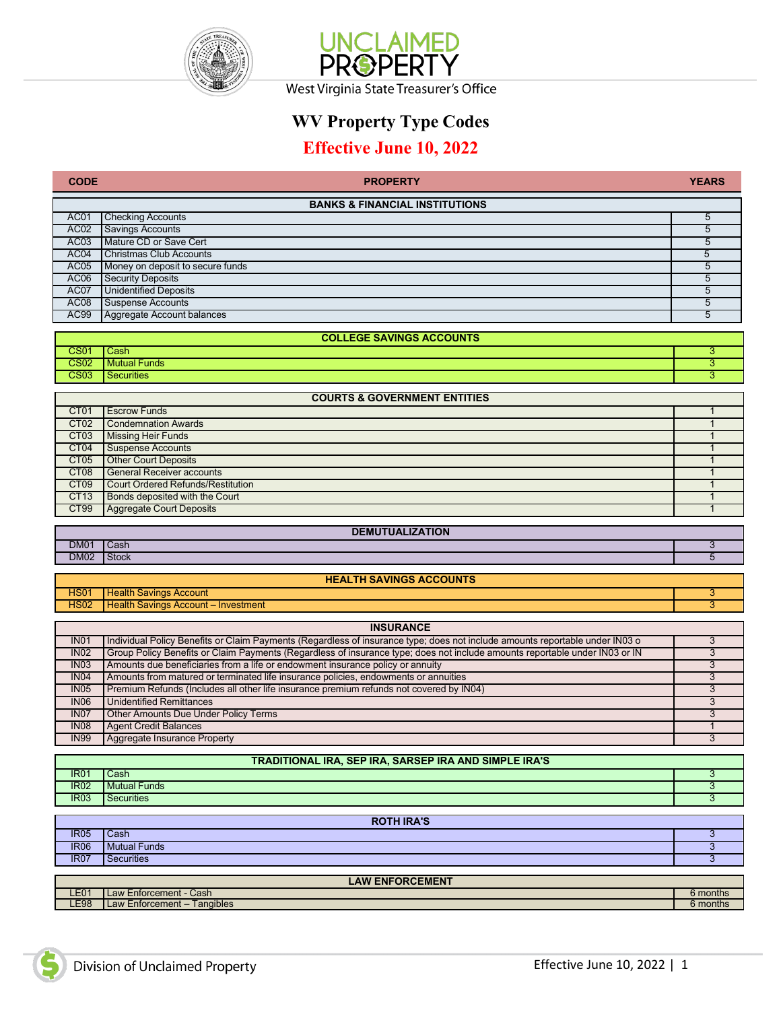



## **WV Property Type Codes**

## **Effective June 10, 2022**

| <b>CODE</b>                | <b>PROPERTY</b>                                                                                                                                                                                               | <b>YEARS</b> |
|----------------------------|---------------------------------------------------------------------------------------------------------------------------------------------------------------------------------------------------------------|--------------|
|                            | <b>BANKS &amp; FINANCIAL INSTITUTIONS</b>                                                                                                                                                                     |              |
| AC01                       | <b>Checking Accounts</b>                                                                                                                                                                                      | 5            |
| AC <sub>02</sub>           | Savings Accounts                                                                                                                                                                                              | 5            |
| AC <sub>03</sub>           | Mature CD or Save Cert                                                                                                                                                                                        | 5            |
| AC04                       | Christmas Club Accounts                                                                                                                                                                                       | 5            |
| AC <sub>05</sub>           | Money on deposit to secure funds                                                                                                                                                                              | 5            |
| AC <sub>06</sub>           | <b>Security Deposits</b>                                                                                                                                                                                      | 5            |
| AC07                       | <b>Unidentified Deposits</b>                                                                                                                                                                                  | 5            |
| AC <sub>08</sub>           | <b>Suspense Accounts</b>                                                                                                                                                                                      | 5            |
| <b>AC99</b>                | Aggregate Account balances                                                                                                                                                                                    | 5            |
|                            | <b>COLLEGE SAVINGS ACCOUNTS</b>                                                                                                                                                                               |              |
| <b>CS01</b>                | Cash                                                                                                                                                                                                          | 3            |
| <b>CS02</b>                | <b>Mutual Funds</b>                                                                                                                                                                                           | 3            |
| CS <sub>03</sub>           | <b>Securities</b>                                                                                                                                                                                             | 3            |
|                            | <b>COURTS &amp; GOVERNMENT ENTITIES</b>                                                                                                                                                                       |              |
| CT <sub>01</sub>           | <b>Escrow Funds</b>                                                                                                                                                                                           | 1            |
| CT <sub>02</sub>           | <b>Condemnation Awards</b>                                                                                                                                                                                    | $\mathbf{1}$ |
| CT <sub>03</sub>           | <b>Missing Heir Funds</b>                                                                                                                                                                                     | $\mathbf{1}$ |
| CT04                       | <b>Suspense Accounts</b>                                                                                                                                                                                      | $\mathbf 1$  |
| CT <sub>05</sub>           | <b>Other Court Deposits</b>                                                                                                                                                                                   | $\mathbf 1$  |
| CT <sub>08</sub>           | <b>General Receiver accounts</b>                                                                                                                                                                              | $\mathbf{1}$ |
| CT <sub>09</sub>           | <b>Court Ordered Refunds/Restitution</b>                                                                                                                                                                      | $\mathbf{1}$ |
| CT13                       | Bonds deposited with the Court                                                                                                                                                                                | $\mathbf{1}$ |
| CT99                       | <b>Aggregate Court Deposits</b>                                                                                                                                                                               | $\mathbf{1}$ |
|                            |                                                                                                                                                                                                               |              |
|                            | <b>DEMUTUALIZATION</b>                                                                                                                                                                                        |              |
| <b>DM01</b><br><b>DM02</b> | Cash<br><b>Stock</b>                                                                                                                                                                                          | 3<br>5       |
|                            |                                                                                                                                                                                                               |              |
|                            | <b>HEALTH SAVINGS ACCOUNTS</b>                                                                                                                                                                                |              |
| <b>HS01</b>                | <b>Health Savings Account</b>                                                                                                                                                                                 | 3            |
| <b>HS02</b>                | Health Savings Account - Investment                                                                                                                                                                           | 3            |
|                            |                                                                                                                                                                                                               |              |
|                            | <b>INSURANCE</b>                                                                                                                                                                                              |              |
| <b>IN01</b>                | Individual Policy Benefits or Claim Payments (Regardless of insurance type; does not include amounts reportable under IN03 o                                                                                  | 3            |
| INO2<br>IN03               | Group Policy Benefits or Claim Payments (Regardless of insurance type; does not include amounts reportable under IN03 or IN<br>Amounts due beneficiaries from a life or endowment insurance policy or annuity | 3<br>3       |
| <b>IN04</b>                | Amounts from matured or terminated life insurance policies, endowments or annuities                                                                                                                           | 3            |
| <b>IN05</b>                | Premium Refunds (Includes all other life insurance premium refunds not covered by IN04)                                                                                                                       | 3            |
| <b>IN06</b>                | <b>Unidentified Remittances</b>                                                                                                                                                                               | 3            |
| IN <sub>07</sub>           | Other Amounts Due Under Policy Terms                                                                                                                                                                          | 3            |
| <b>IN08</b>                | <b>Agent Credit Balances</b>                                                                                                                                                                                  | $\mathbf{1}$ |
| <b>IN99</b>                | Aggregate Insurance Property                                                                                                                                                                                  | 3            |
|                            |                                                                                                                                                                                                               |              |
|                            | TRADITIONAL IRA, SEP IRA, SARSEP IRA AND SIMPLE IRA'S                                                                                                                                                         |              |
| <b>IR01</b><br><b>IR02</b> | Cash<br><b>Mutual Funds</b>                                                                                                                                                                                   | 3<br>3       |
| <b>IR03</b>                | <b>Securities</b>                                                                                                                                                                                             | 3            |
|                            |                                                                                                                                                                                                               |              |
|                            | <b>ROTH IRA'S</b>                                                                                                                                                                                             |              |
| <b>IR05</b>                | Cash                                                                                                                                                                                                          | 3            |
| <b>IR06</b>                | <b>Mutual Funds</b>                                                                                                                                                                                           | 3            |
| <b>IR07</b>                | <b>Securities</b>                                                                                                                                                                                             | 3            |
| <b>LAW ENFORCEMENT</b>     |                                                                                                                                                                                                               |              |
| <b>LE01</b>                | Law Enforcement - Cash                                                                                                                                                                                        | 6 months     |
| <b>LE98</b>                | Law Enforcement - Tangibles                                                                                                                                                                                   | 6 months     |

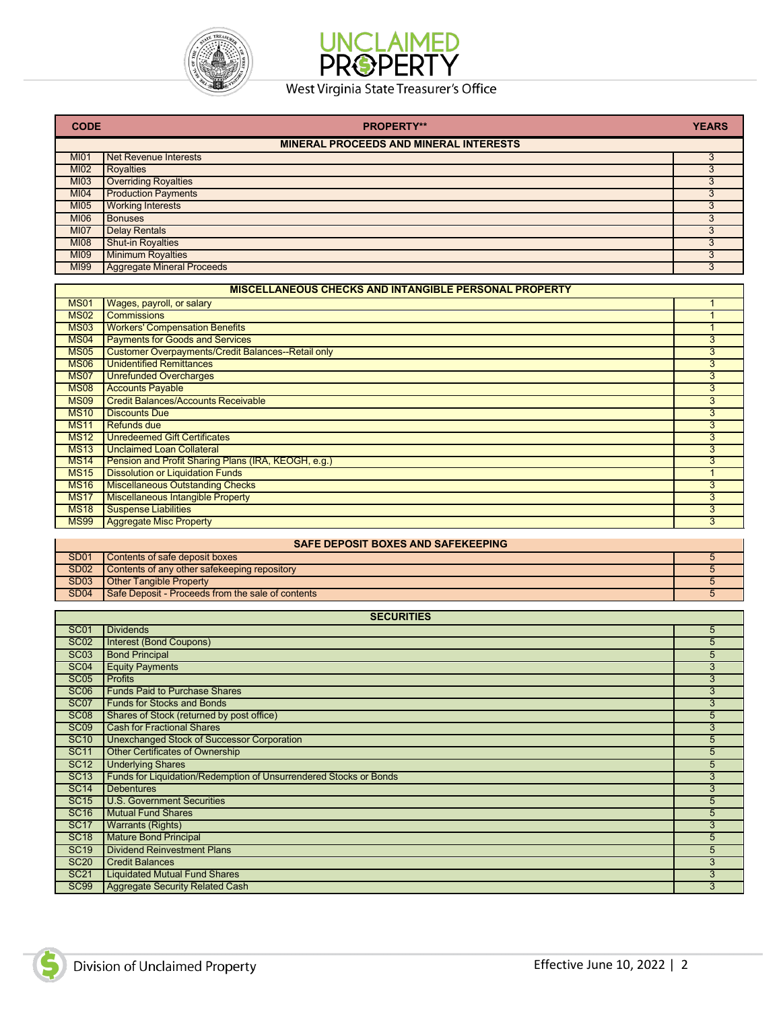



## West Virginia State Treasurer's Office

| <b>CODE</b>      | <b>PROPERTY**</b>                                            | <b>YEARS</b>    |
|------------------|--------------------------------------------------------------|-----------------|
|                  | <b>MINERAL PROCEEDS AND MINERAL INTERESTS</b>                |                 |
| <b>MI01</b>      | <b>Net Revenue Interests</b>                                 | 3               |
| <b>MI02</b>      | <b>Royalties</b>                                             | $\overline{3}$  |
| <b>MI03</b>      | <b>Overriding Royalties</b>                                  | $\overline{3}$  |
| <b>MI04</b>      | <b>Production Payments</b>                                   | 3               |
| <b>MI05</b>      | <b>Working Interests</b>                                     | 3               |
| <b>MI06</b>      | <b>Bonuses</b>                                               | 3               |
| <b>MI07</b>      | <b>Delay Rentals</b>                                         | $\overline{3}$  |
| <b>MI08</b>      | Shut-in Royalties                                            | 3               |
| <b>MI09</b>      | <b>Minimum Royalties</b>                                     | $\overline{3}$  |
| <b>MI99</b>      | <b>Aggregate Mineral Proceeds</b>                            | 3               |
|                  | <b>MISCELLANEOUS CHECKS AND INTANGIBLE PERSONAL PROPERTY</b> |                 |
| <b>MS01</b>      | Wages, payroll, or salary                                    | 1               |
| <b>MS02</b>      | <b>Commissions</b>                                           | $\mathbf{1}$    |
| <b>MS03</b>      | <b>Workers' Compensation Benefits</b>                        | $\mathbf{1}$    |
| <b>MS04</b>      | <b>Payments for Goods and Services</b>                       | $\overline{3}$  |
| <b>MS05</b>      | Customer Overpayments/Credit Balances--Retail only           | $\overline{3}$  |
| <b>MS06</b>      | <b>Unidentified Remittances</b>                              | $\overline{3}$  |
| <b>MS07</b>      | <b>Unrefunded Overcharges</b>                                | 3               |
| <b>MS08</b>      | <b>Accounts Payable</b>                                      | $\overline{3}$  |
| <b>MS09</b>      | <b>Credit Balances/Accounts Receivable</b>                   | 3               |
| <b>MS10</b>      | <b>Discounts Due</b>                                         | $\overline{3}$  |
| <b>MS11</b>      | <b>Refunds due</b>                                           | $\overline{3}$  |
| <b>MS12</b>      | <b>Unredeemed Gift Certificates</b>                          | 3               |
| <b>MS13</b>      | <b>Unclaimed Loan Collateral</b>                             | $\overline{3}$  |
| <b>MS14</b>      | Pension and Profit Sharing Plans (IRA, KEOGH, e.g.)          | 3               |
| <b>MS15</b>      | <b>Dissolution or Liquidation Funds</b>                      | $\mathbf{1}$    |
| <b>MS16</b>      | <b>Miscellaneous Outstanding Checks</b>                      | $\overline{3}$  |
| <b>MS17</b>      | <b>Miscellaneous Intangible Property</b>                     | 3               |
| <b>MS18</b>      | <b>Suspense Liabilities</b>                                  | $\overline{3}$  |
| <b>MS99</b>      | <b>Aggregate Misc Property</b>                               | $\overline{3}$  |
|                  | <b>SAFE DEPOSIT BOXES AND SAFEKEEPING</b>                    |                 |
| <b>SD01</b>      | Contents of safe deposit boxes                               | 5               |
| <b>SD02</b>      | Contents of any other safekeeping repository                 | $\overline{5}$  |
| <b>SD03</b>      | <b>Other Tangible Property</b>                               | $5\overline{5}$ |
| <b>SD04</b>      | Safe Deposit - Proceeds from the sale of contents            | $\overline{5}$  |
|                  | <b>SECURITIES</b>                                            |                 |
| <b>SC01</b>      | <b>Dividends</b>                                             | 5               |
| <b>SC02</b>      | Interest (Bond Coupons)                                      | $\overline{5}$  |
| SC <sub>03</sub> | <b>Bond Principal</b>                                        | $\overline{5}$  |
| <b>SC04</b>      | <b>Equity Payments</b>                                       | 3               |
| <b>SC05</b>      | <b>Profits</b>                                               | $\overline{3}$  |
| SC <sub>06</sub> | <b>Funds Paid to Purchase Shares</b>                         | 3               |
| <b>SC07</b>      | <b>Funds for Stocks and Bonds</b>                            | $\overline{3}$  |
| <b>SC08</b>      | Shares of Stock (returned by post office)                    | 5               |
| <b>SC09</b>      | <b>Cash for Fractional Shares</b>                            | $\overline{3}$  |
| <b>SC10</b>      | <b>Unexchanged Stock of Successor Corporation</b>            | 5               |
| <b>SC11</b>      | <b>Other Certificates of Ownership</b>                       | $\overline{5}$  |
|                  |                                                              |                 |

| <b>UU IU</b>     | <u>Uncadranged Olock or Odecessor</u> Corporation                 | ັ |
|------------------|-------------------------------------------------------------------|---|
| <b>SC11</b>      | Other Certificates of Ownership                                   |   |
| SC <sub>12</sub> | <b>Underlying Shares</b>                                          |   |
| <b>SC13</b>      | Funds for Liquidation/Redemption of Unsurrendered Stocks or Bonds |   |
| <b>SC14</b>      | <b>Debentures</b>                                                 |   |
| <b>SC15</b>      | U.S. Government Securities                                        |   |
| <b>SC16</b>      | <b>Mutual Fund Shares</b>                                         |   |
| <b>SC17</b>      | <b>Warrants (Rights)</b>                                          |   |
| <b>SC18</b>      | <b>Mature Bond Principal</b>                                      |   |
| <b>SC19</b>      | <b>Dividend Reinvestment Plans</b>                                |   |
| <b>SC20</b>      | <b>Credit Balances</b>                                            |   |
| <b>SC21</b>      | <b>Liquidated Mutual Fund Shares</b>                              |   |
| <b>SC99</b>      | Aggregate Security Related Cash                                   |   |